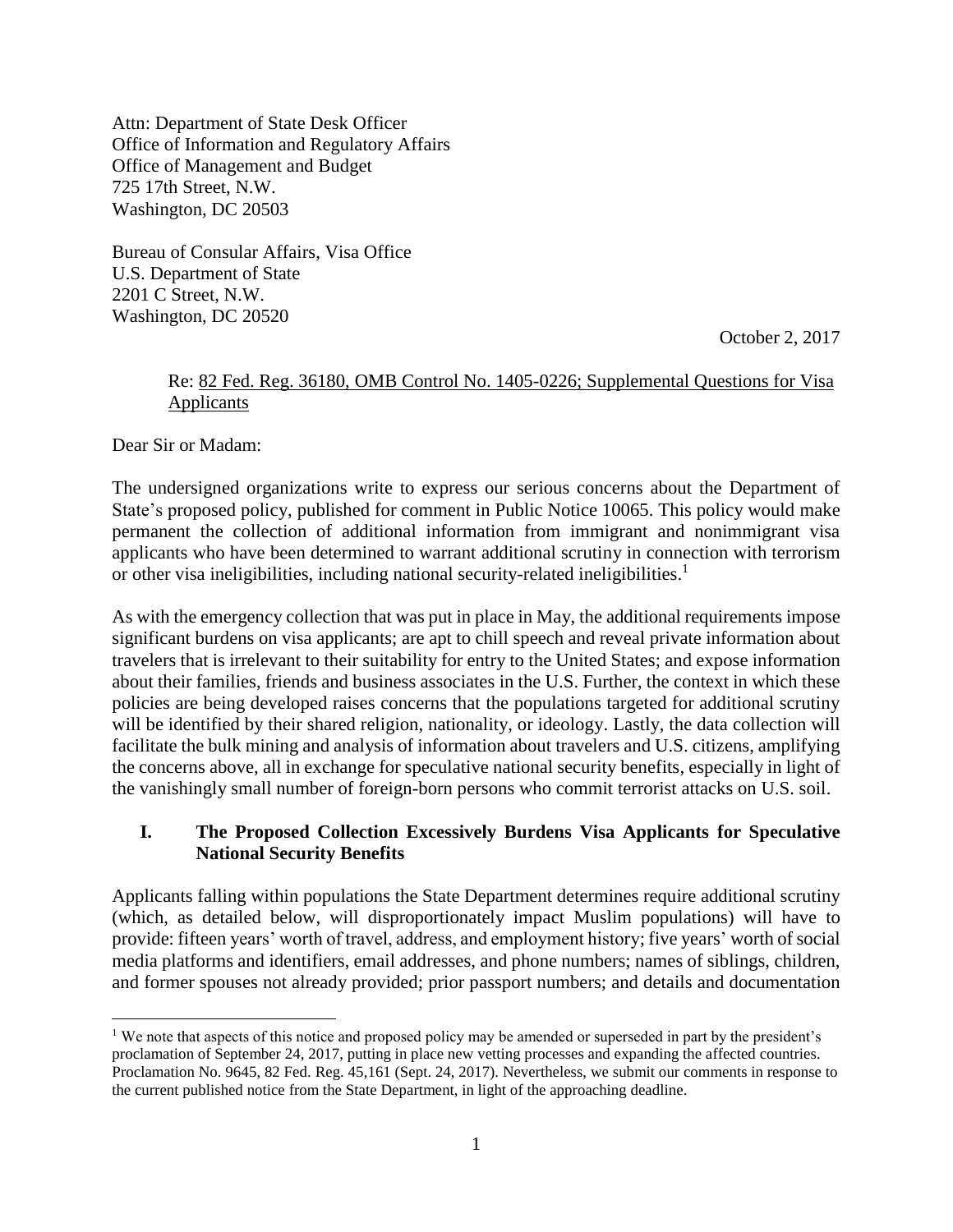Attn: Department of State Desk Officer Office of Information and Regulatory Affairs Office of Management and Budget 725 17th Street, N.W. Washington, DC 20503

Bureau of Consular Affairs, Visa Office U.S. Department of State 2201 C Street, N.W. Washington, DC 20520

October 2, 2017

#### Re: 82 Fed. Reg. 36180, OMB Control No. 1405-0226; Supplemental Questions for Visa Applicants

Dear Sir or Madam:

 $\overline{a}$ 

The undersigned organizations write to express our serious concerns about the Department of State's proposed policy, published for comment in Public Notice 10065. This policy would make permanent the collection of additional information from immigrant and nonimmigrant visa applicants who have been determined to warrant additional scrutiny in connection with terrorism or other visa ineligibilities, including national security-related ineligibilities. 1

As with the emergency collection that was put in place in May, the additional requirements impose significant burdens on visa applicants; are apt to chill speech and reveal private information about travelers that is irrelevant to their suitability for entry to the United States; and expose information about their families, friends and business associates in the U.S. Further, the context in which these policies are being developed raises concerns that the populations targeted for additional scrutiny will be identified by their shared religion, nationality, or ideology. Lastly, the data collection will facilitate the bulk mining and analysis of information about travelers and U.S. citizens, amplifying the concerns above, all in exchange for speculative national security benefits, especially in light of the vanishingly small number of foreign-born persons who commit terrorist attacks on U.S. soil.

### **I. The Proposed Collection Excessively Burdens Visa Applicants for Speculative National Security Benefits**

Applicants falling within populations the State Department determines require additional scrutiny (which, as detailed below, will disproportionately impact Muslim populations) will have to provide: fifteen years' worth of travel, address, and employment history; five years' worth of social media platforms and identifiers, email addresses, and phone numbers; names of siblings, children, and former spouses not already provided; prior passport numbers; and details and documentation

<sup>&</sup>lt;sup>1</sup> We note that aspects of this notice and proposed policy may be amended or superseded in part by the president's proclamation of September 24, 2017, putting in place new vetting processes and expanding the affected countries. Proclamation No. 9645, 82 Fed. Reg. 45,161 (Sept. 24, 2017). Nevertheless, we submit our comments in response to the current published notice from the State Department, in light of the approaching deadline.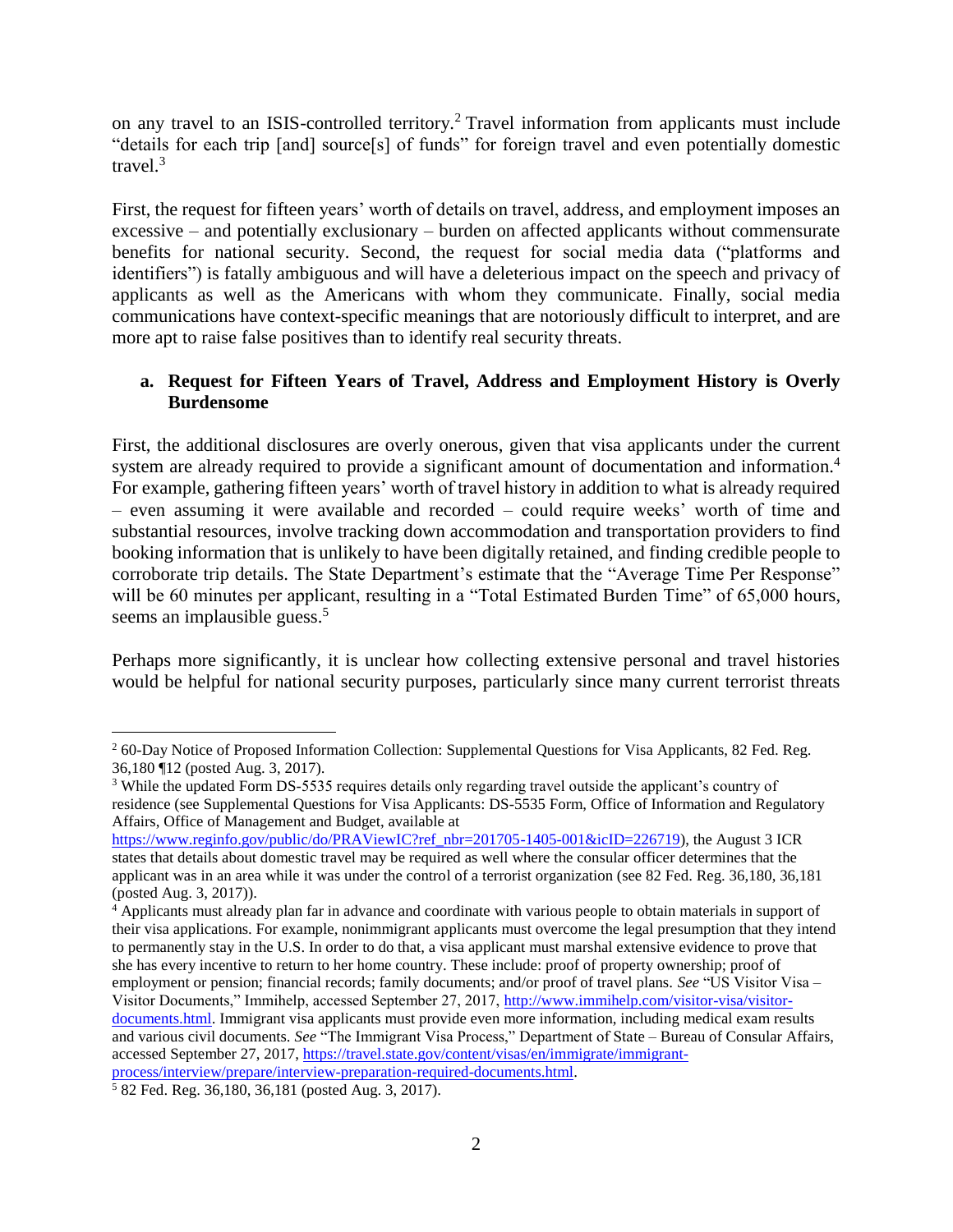on any travel to an ISIS-controlled territory.<sup>2</sup> Travel information from applicants must include "details for each trip [and] source[s] of funds" for foreign travel and even potentially domestic travel. $3$ 

First, the request for fifteen years' worth of details on travel, address, and employment imposes an excessive – and potentially exclusionary – burden on affected applicants without commensurate benefits for national security. Second, the request for social media data ("platforms and identifiers") is fatally ambiguous and will have a deleterious impact on the speech and privacy of applicants as well as the Americans with whom they communicate. Finally, social media communications have context-specific meanings that are notoriously difficult to interpret, and are more apt to raise false positives than to identify real security threats.

## **a. Request for Fifteen Years of Travel, Address and Employment History is Overly Burdensome**

First, the additional disclosures are overly onerous, given that visa applicants under the current system are already required to provide a significant amount of documentation and information.<sup>4</sup> For example, gathering fifteen years' worth of travel history in addition to what is already required – even assuming it were available and recorded – could require weeks' worth of time and substantial resources, involve tracking down accommodation and transportation providers to find booking information that is unlikely to have been digitally retained, and finding credible people to corroborate trip details. The State Department's estimate that the "Average Time Per Response" will be 60 minutes per applicant, resulting in a "Total Estimated Burden Time" of 65,000 hours, seems an implausible guess.<sup>5</sup>

Perhaps more significantly, it is unclear how collecting extensive personal and travel histories would be helpful for national security purposes, particularly since many current terrorist threats

<sup>2</sup> 60-Day Notice of Proposed Information Collection: Supplemental Questions for Visa Applicants, 82 Fed. Reg. 36,180 ¶12 (posted Aug. 3, 2017).

<sup>&</sup>lt;sup>3</sup> While the updated Form DS-5535 requires details only regarding travel outside the applicant's country of residence (see Supplemental Questions for Visa Applicants: DS-5535 Form, Office of Information and Regulatory Affairs, Office of Management and Budget, available at

[https://www.reginfo.gov/public/do/PRAViewIC?ref\\_nbr=201705-1405-001&icID=226719\)](https://www.reginfo.gov/public/do/PRAViewIC?ref_nbr=201705-1405-001&icID=226719), the August 3 ICR states that details about domestic travel may be required as well where the consular officer determines that the applicant was in an area while it was under the control of a terrorist organization (see 82 Fed. Reg. 36,180, 36,181 (posted Aug. 3, 2017)).

<sup>&</sup>lt;sup>4</sup> Applicants must already plan far in advance and coordinate with various people to obtain materials in support of their visa applications. For example, nonimmigrant applicants must overcome the legal presumption that they intend to permanently stay in the U.S. In order to do that, a visa applicant must marshal extensive evidence to prove that she has every incentive to return to her home country. These include: proof of property ownership; proof of employment or pension; financial records; family documents; and/or proof of travel plans. *See* "US Visitor Visa – Visitor Documents," Immihelp, accessed September 27, 2017, [http://www.immihelp.com/visitor-visa/visitor](http://www.immihelp.com/visitor-visa/visitor-documents.html)[documents.html.](http://www.immihelp.com/visitor-visa/visitor-documents.html) Immigrant visa applicants must provide even more information, including medical exam results and various civil documents. *See* "The Immigrant Visa Process," Department of State – Bureau of Consular Affairs, accessed September 27, 2017[, https://travel.state.gov/content/visas/en/immigrate/immigrant](https://travel.state.gov/content/visas/en/immigrate/immigrant-process/interview/prepare/interview-preparation-required-documents.html)[process/interview/prepare/interview-preparation-required-documents.html.](https://travel.state.gov/content/visas/en/immigrate/immigrant-process/interview/prepare/interview-preparation-required-documents.html)

 $5$  82 Fed. Reg. 36,180, 36,181 (posted Aug. 3, 2017).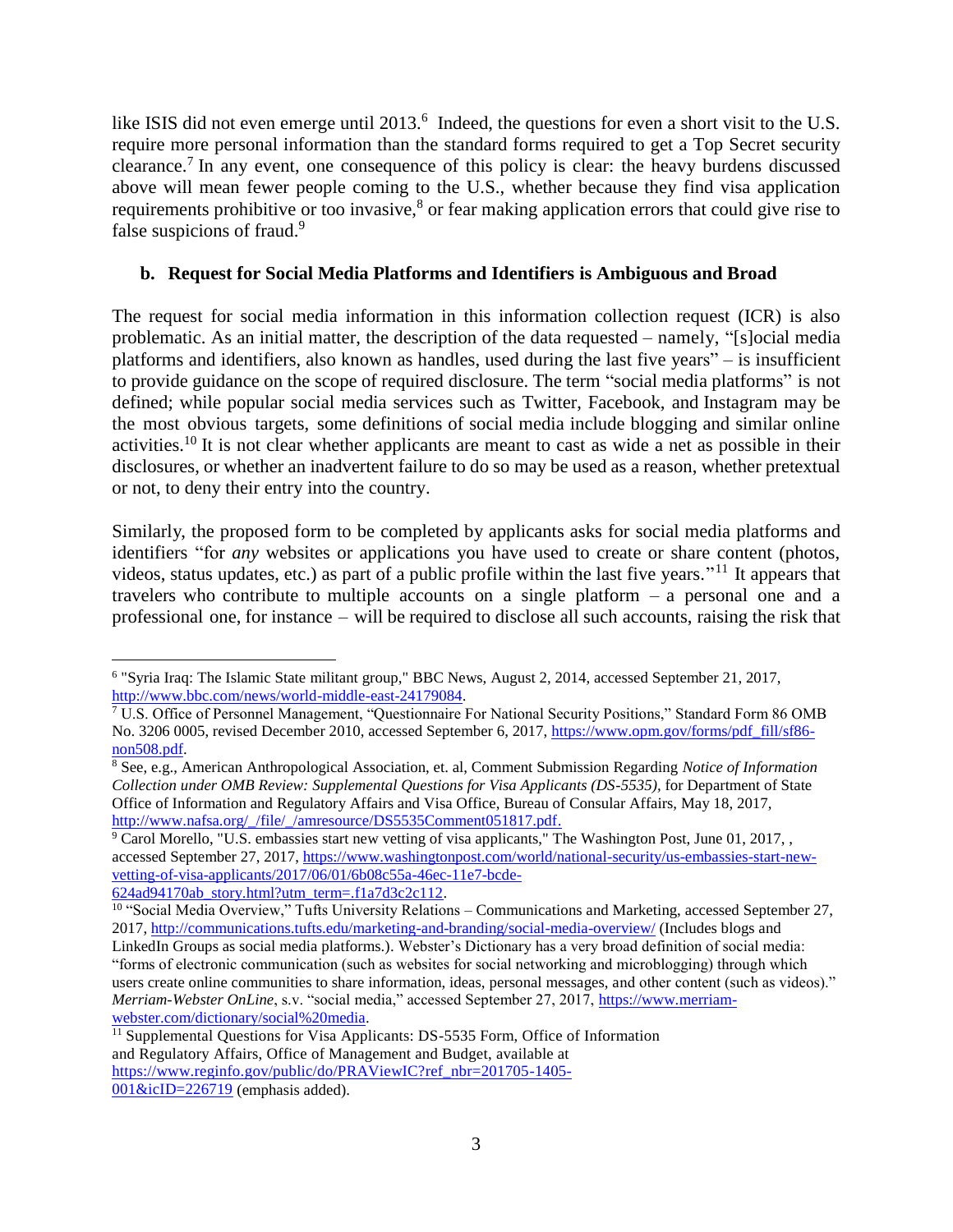like ISIS did not even emerge until 2013.<sup>6</sup> Indeed, the questions for even a short visit to the U.S. require more personal information than the standard forms required to get a Top Secret security clearance. 7 In any event, one consequence of this policy is clear: the heavy burdens discussed above will mean fewer people coming to the U.S., whether because they find visa application requirements prohibitive or too invasive,<sup>8</sup> or fear making application errors that could give rise to false suspicions of fraud.<sup>9</sup>

#### **b. Request for Social Media Platforms and Identifiers is Ambiguous and Broad**

The request for social media information in this information collection request (ICR) is also problematic. As an initial matter, the description of the data requested – namely, "[s]ocial media platforms and identifiers, also known as handles, used during the last five years" – is insufficient to provide guidance on the scope of required disclosure. The term "social media platforms" is not defined; while popular social media services such as Twitter, Facebook, and Instagram may be the most obvious targets, some definitions of social media include blogging and similar online activities.<sup>10</sup> It is not clear whether applicants are meant to cast as wide a net as possible in their disclosures, or whether an inadvertent failure to do so may be used as a reason, whether pretextual or not, to deny their entry into the country.

Similarly, the proposed form to be completed by applicants asks for social media platforms and identifiers "for *any* websites or applications you have used to create or share content (photos, videos, status updates, etc.) as part of a public profile within the last five years."<sup>11</sup> It appears that travelers who contribute to multiple accounts on a single platform  $-$  a personal one and a professional one, for instance – will be required to disclose all such accounts, raising the risk that

<sup>&</sup>lt;sup>6</sup> "Syria Iraq: The Islamic State militant group," BBC News, August 2, 2014, accessed September 21, 2017, [http://www.bbc.com/news/world-middle-east-24179084.](http://www.bbc.com/news/world-middle-east-24179084)

<sup>7</sup> U.S. Office of Personnel Management, "Questionnaire For National Security Positions," Standard Form 86 OMB No. 3206 0005, revised December 2010, accessed September 6, 2017, [https://www.opm.gov/forms/pdf\\_fill/sf86](https://www.opm.gov/forms/pdf_fill/sf86-non508.pdf) [non508.pdf.](https://www.opm.gov/forms/pdf_fill/sf86-non508.pdf)

<sup>8</sup> See, e.g., American Anthropological Association, et. al, Comment Submission Regarding *Notice of Information Collection under OMB Review: Supplemental Questions for Visa Applicants (DS-5535),* for Department of State Office of Information and Regulatory Affairs and Visa Office, Bureau of Consular Affairs, May 18, 2017, [http://www.nafsa.org/\\_/file/\\_/amresource/DS5535Comment051817.pdf.](http://www.nafsa.org/_/file/_/amresource/DS5535Comment051817.pdf)

<sup>&</sup>lt;sup>9</sup> Carol Morello, "U.S. embassies start new vetting of visa applicants," The Washington Post, June 01, 2017, , accessed September 27, 2017[, https://www.washingtonpost.com/world/national-security/us-embassies-start-new](https://www.washingtonpost.com/world/national-security/us-embassies-start-new-vetting-of-visa-applicants/2017/06/01/6b08c55a-46ec-11e7-bcde-624ad94170ab_story.html?utm_term=.f1a7d3c2c112)[vetting-of-visa-applicants/2017/06/01/6b08c55a-46ec-11e7-bcde-](https://www.washingtonpost.com/world/national-security/us-embassies-start-new-vetting-of-visa-applicants/2017/06/01/6b08c55a-46ec-11e7-bcde-624ad94170ab_story.html?utm_term=.f1a7d3c2c112)[624ad94170ab\\_story.html?utm\\_term=.f1a7d3c2c112.](https://www.washingtonpost.com/world/national-security/us-embassies-start-new-vetting-of-visa-applicants/2017/06/01/6b08c55a-46ec-11e7-bcde-624ad94170ab_story.html?utm_term=.f1a7d3c2c112)

<sup>&</sup>lt;sup>10</sup> "Social Media Overview," Tufts University Relations – Communications and Marketing, accessed September 27, 2017,<http://communications.tufts.edu/marketing-and-branding/social-media-overview/> (Includes blogs and

LinkedIn Groups as social media platforms.). Webster's Dictionary has a very broad definition of social media: "forms of electronic communication (such as websites for social networking and microblogging) through which users create online communities to share information, ideas, personal messages, and other content (such as videos)." *Merriam-Webster OnLine*, s.v. "social media," accessed September 27, 2017, [https://www.merriam](https://www.merriam-webster.com/dictionary/social%20media)[webster.com/dictionary/social%20media.](https://www.merriam-webster.com/dictionary/social%20media)

<sup>&</sup>lt;sup>11</sup> Supplemental Questions for Visa Applicants: DS-5535 Form, Office of Information and Regulatory Affairs, Office of Management and Budget, available at [https://www.reginfo.gov/public/do/PRAViewIC?ref\\_nbr=201705-1405-](https://www.reginfo.gov/public/do/PRAViewIC?ref_nbr=201705-1405-001&icID=226719)

 $001\&$ icID=226719 (emphasis added).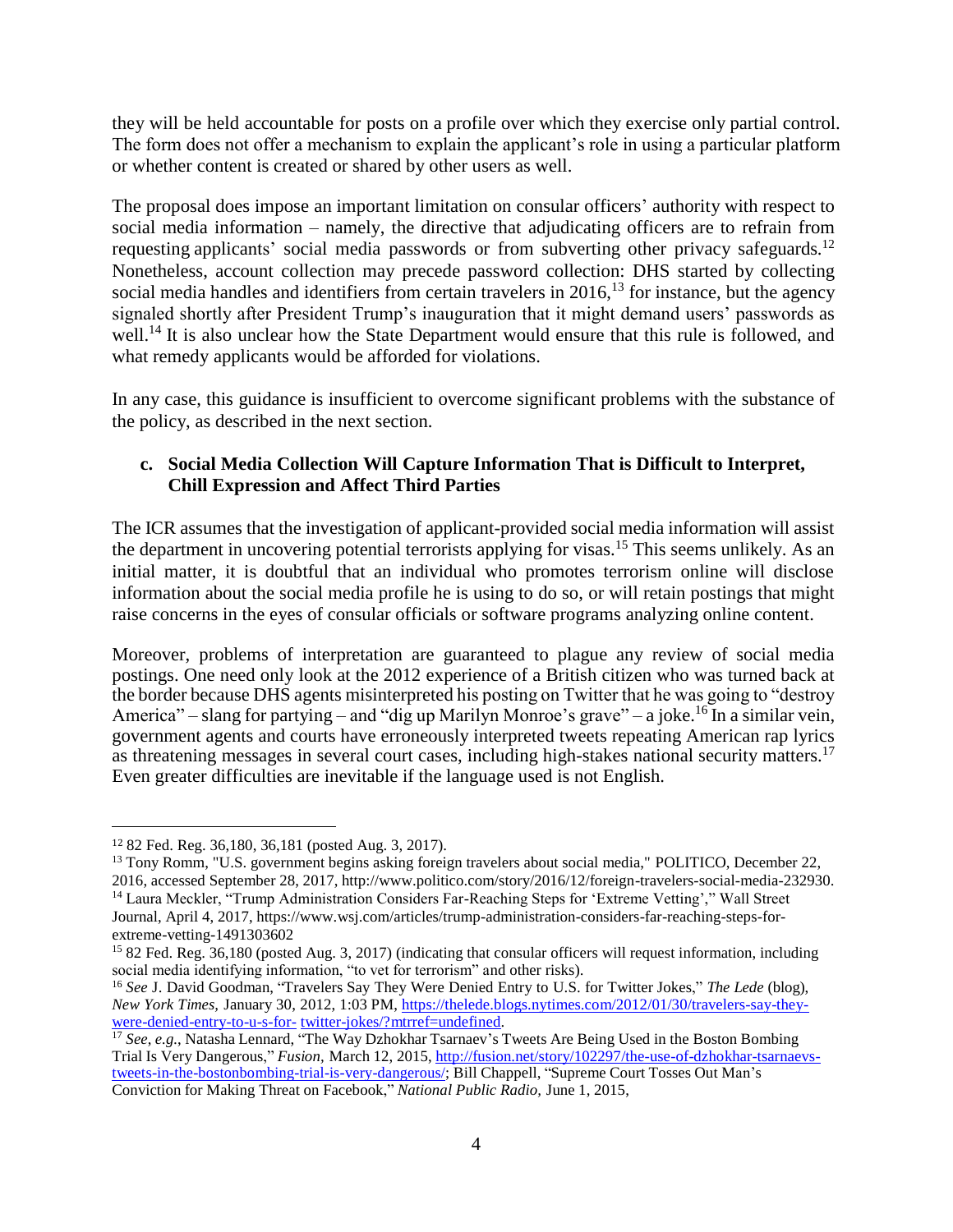they will be held accountable for posts on a profile over which they exercise only partial control. The form does not offer a mechanism to explain the applicant's role in using a particular platform or whether content is created or shared by other users as well.

The proposal does impose an important limitation on consular officers' authority with respect to social media information – namely, the directive that adjudicating officers are to refrain from requesting applicants' social media passwords or from subverting other privacy safeguards.<sup>12</sup> Nonetheless, account collection may precede password collection: DHS started by collecting social media handles and identifiers from certain travelers in  $2016$ ,<sup>13</sup> for instance, but the agency signaled shortly after President Trump's inauguration that it might demand users' passwords as well.<sup>14</sup> It is also unclear how the State Department would ensure that this rule is followed, and what remedy applicants would be afforded for violations.

In any case, this guidance is insufficient to overcome significant problems with the substance of the policy, as described in the next section.

# **c. Social Media Collection Will Capture Information That is Difficult to Interpret, Chill Expression and Affect Third Parties**

The ICR assumes that the investigation of applicant-provided social media information will assist the department in uncovering potential terrorists applying for visas.<sup>15</sup> This seems unlikely. As an initial matter, it is doubtful that an individual who promotes terrorism online will disclose information about the social media profile he is using to do so, or will retain postings that might raise concerns in the eyes of consular officials or software programs analyzing online content.

Moreover, problems of interpretation are guaranteed to plague any review of social media postings. One need only look at the 2012 experience of a British citizen who was turned back at the border because DHS agents misinterpreted his posting on Twitter that he was going to "destroy America" – slang for partying – and "dig up Marilyn Monroe's grave" – a joke.<sup>16</sup> In a similar vein, government agents and courts have erroneously interpreted tweets repeating American rap lyrics as threatening messages in several court cases, including high-stakes national security matters.<sup>17</sup> Even greater difficulties are inevitable if the language used is not English.

<sup>12</sup> 82 Fed. Reg. 36,180, 36,181 (posted Aug. 3, 2017).

<sup>&</sup>lt;sup>13</sup> Tony Romm, "U.S. government begins asking foreign travelers about social media," POLITICO, December 22, 2016, accessed September 28, 2017, http://www.politico.com/story/2016/12/foreign-travelers-social-media-232930.

<sup>&</sup>lt;sup>14</sup> Laura Meckler, "Trump Administration Considers Far-Reaching Steps for 'Extreme Vetting'," Wall Street Journal, April 4, 2017, https://www.wsj.com/articles/trump-administration-considers-far-reaching-steps-forextreme-vetting-1491303602

<sup>&</sup>lt;sup>15</sup> 82 Fed. Reg. 36,180 (posted Aug. 3, 2017) (indicating that consular officers will request information, including social media identifying information, "to vet for terrorism" and other risks).

<sup>16</sup> *See* J. David Goodman, "Travelers Say They Were Denied Entry to U.S. for Twitter Jokes," *The Lede* (blog), *New York Times,* January 30, 2012, 1:03 PM, [https://thelede.blogs.nytimes.com/2012/01/30/travelers-say-they](https://thelede.blogs.nytimes.com/2012/01/30/travelers-say-they-were-denied-entry-to-u-s-for-twitter-jokes/?mtrref=undefined)[were-denied-entry-to-u-s-for-](https://thelede.blogs.nytimes.com/2012/01/30/travelers-say-they-were-denied-entry-to-u-s-for-twitter-jokes/?mtrref=undefined) [twitter-jokes/?mtrref=undefined.](https://thelede.blogs.nytimes.com/2012/01/30/travelers-say-they-were-denied-entry-to-u-s-for-twitter-jokes/?mtrref=undefined)

<sup>&</sup>lt;sup>17</sup> *See*, *e.g.*, Natasha Lennard, "The Way Dzhokhar Tsarnaev's Tweets Are Being Used in the Boston Bombing Trial Is Very Dangerous," *Fusion,* March 12, 2015, [http://fusion.net/story/102297/the-use-of-dzhokhar-tsarnaevs](http://fusion.net/story/102297/the-use-of-dzhokhar-tsarnaevs-tweets-in-the-bostonbombing-trial-is-very-dangerous/)[tweets-in-the-bostonbombing-trial-is-very-dangerous/;](http://fusion.net/story/102297/the-use-of-dzhokhar-tsarnaevs-tweets-in-the-bostonbombing-trial-is-very-dangerous/) Bill Chappell, "Supreme Court Tosses Out Man's Conviction for Making Threat on Facebook," *National Public Radio,* June 1, 2015,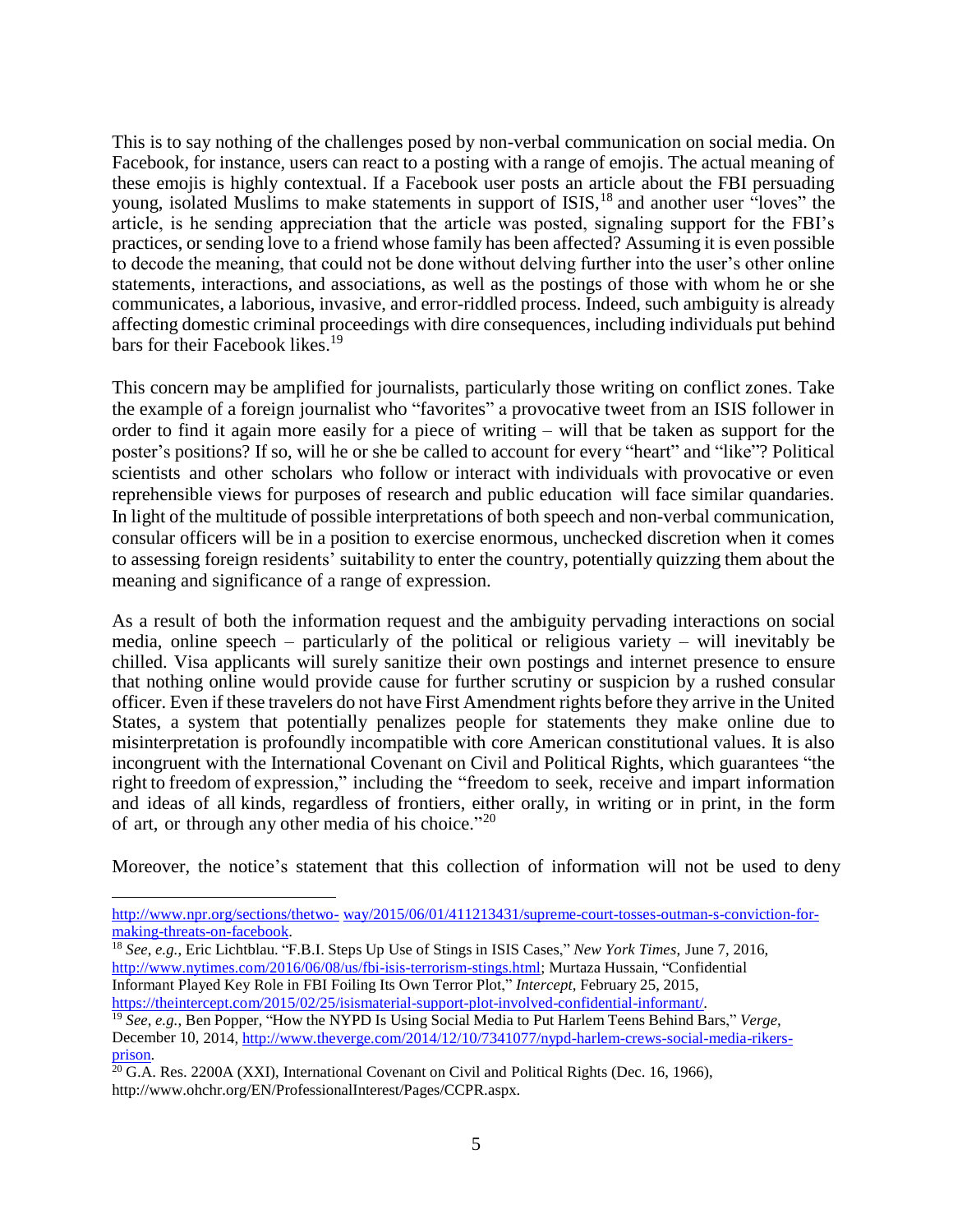This is to say nothing of the challenges posed by non-verbal communication on social media. On Facebook, for instance, users can react to a posting with a range of emojis. The actual meaning of these emojis is highly contextual. If a Facebook user posts an article about the FBI persuading young, isolated Muslims to make statements in support of ISIS,<sup>18</sup> and another user "loves" the article, is he sending appreciation that the article was posted, signaling support for the FBI's practices, or sending love to a friend whose family has been affected? Assuming it is even possible to decode the meaning, that could not be done without delving further into the user's other online statements, interactions, and associations, as well as the postings of those with whom he or she communicates, a laborious, invasive, and error-riddled process. Indeed, such ambiguity is already affecting domestic criminal proceedings with dire consequences, including individuals put behind bars for their Facebook likes. 19

This concern may be amplified for journalists, particularly those writing on conflict zones. Take the example of a foreign journalist who "favorites" a provocative tweet from an ISIS follower in order to find it again more easily for a piece of writing – will that be taken as support for the poster's positions? If so, will he or she be called to account for every "heart" and "like"? Political scientists and other scholars who follow or interact with individuals with provocative or even reprehensible views for purposes of research and public education will face similar quandaries. In light of the multitude of possible interpretations of both speech and non-verbal communication, consular officers will be in a position to exercise enormous, unchecked discretion when it comes to assessing foreign residents' suitability to enter the country, potentially quizzing them about the meaning and significance of a range of expression.

As a result of both the information request and the ambiguity pervading interactions on social media, online speech – particularly of the political or religious variety – will inevitably be chilled. Visa applicants will surely sanitize their own postings and internet presence to ensure that nothing online would provide cause for further scrutiny or suspicion by a rushed consular officer. Even if these travelers do not have First Amendment rights before they arrive in the United States, a system that potentially penalizes people for statements they make online due to misinterpretation is profoundly incompatible with core American constitutional values. It is also incongruent with the International Covenant on Civil and Political Rights, which guarantees "the right to freedom of expression," including the "freedom to seek, receive and impart information and ideas of all kinds, regardless of frontiers, either orally, in writing or in print, in the form of art, or through any other media of his choice."20

Moreover, the notice's statement that this collection of information will not be used to deny

[http://www.npr.org/sections/thetwo-](http://www.npr.org/sections/thetwo-way/2015/06/01/411213431/supreme-court-tosses-outman-s-conviction-for-making-threats-on-facebook) [way/2015/06/01/411213431/supreme-court-tosses-outman-s-conviction-for](http://www.npr.org/sections/thetwo-way/2015/06/01/411213431/supreme-court-tosses-outman-s-conviction-for-making-threats-on-facebook)[making-threats-on-facebook.](http://www.npr.org/sections/thetwo-way/2015/06/01/411213431/supreme-court-tosses-outman-s-conviction-for-making-threats-on-facebook)

<sup>18</sup> *See*, *e.g.*, Eric Lichtblau. "F.B.I. Steps Up Use of Stings in ISIS Cases," *New York Times*, June 7, 2016, [http://www.nytimes.com/2016/06/08/us/fbi-isis-terrorism-stings.html;](http://www.nytimes.com/2016/06/08/us/fbi-isis-terrorism-stings.html) Murtaza Hussain, "Confidential Informant Played Key Role in FBI Foiling Its Own Terror Plot," *Intercept,* February 25, 2015, [https://theintercept.com/2015/02/25/isismaterial-support-plot-involved-confidential-informant/.](https://theintercept.com/2015/02/25/isismaterial-support-plot-involved-confidential-informant/)

<sup>19</sup> *See*, *e.g.*, Ben Popper, "How the NYPD Is Using Social Media to Put Harlem Teens Behind Bars," *Verge,* December 10, 2014, [http://www.theverge.com/2014/12/10/7341077/nypd-harlem-crews-social-media-rikers](http://www.theverge.com/2014/12/10/7341077/nypd-harlem-crews-social-media-rikers-prison)[prison.](http://www.theverge.com/2014/12/10/7341077/nypd-harlem-crews-social-media-rikers-prison)

 $^{20}$  G.A. Res. 2200A (XXI), International Covenant on Civil and Political Rights (Dec. 16, 1966), http://www.ohchr.org/EN/ProfessionalInterest/Pages/CCPR.aspx.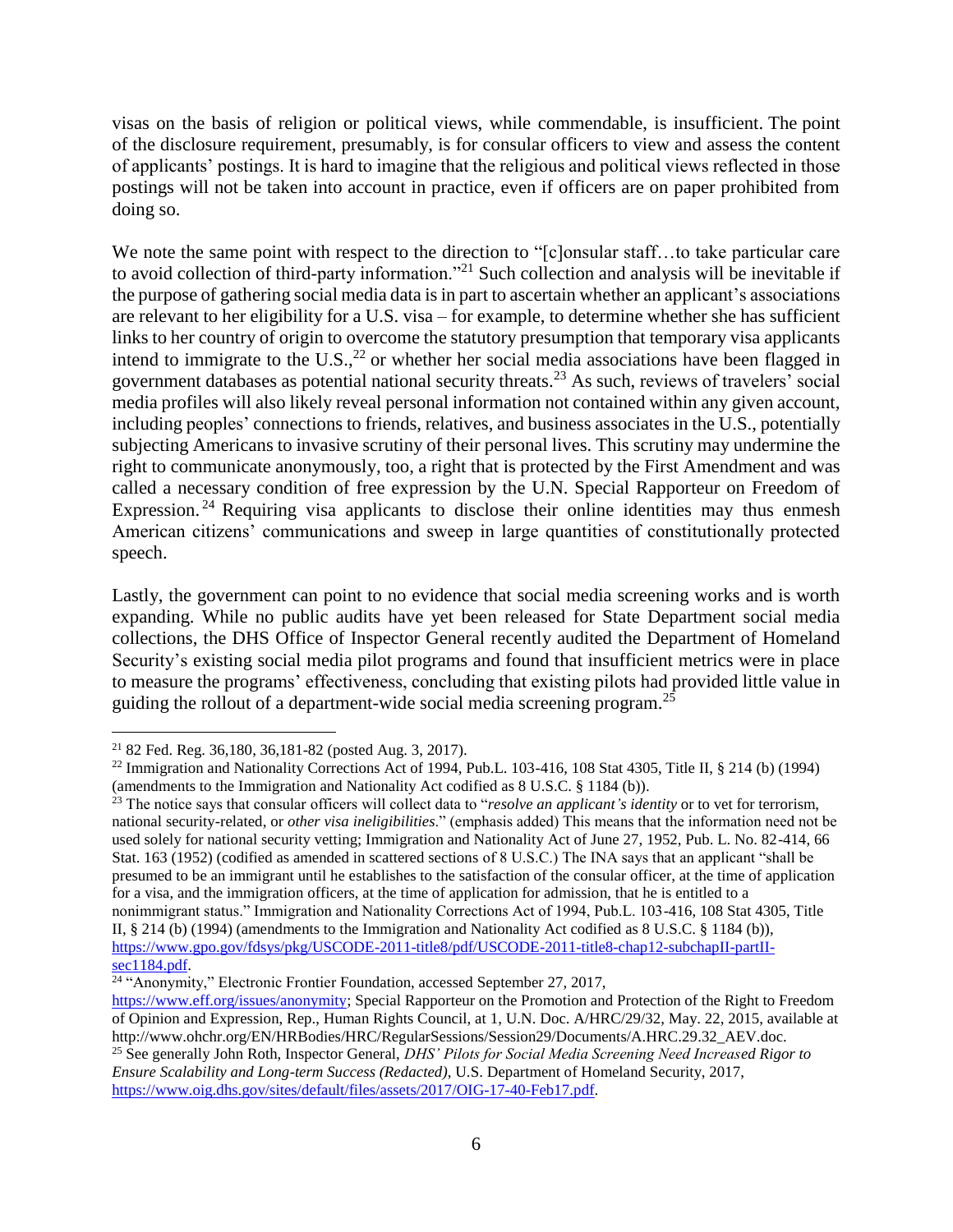visas on the basis of religion or political views, while commendable, is insufficient. The point of the disclosure requirement, presumably, is for consular officers to view and assess the content of applicants' postings. It is hard to imagine that the religious and political views reflected in those postings will not be taken into account in practice, even if officers are on paper prohibited from doing so.

We note the same point with respect to the direction to "[c]onsular staff...to take particular care to avoid collection of third-party information."<sup>21</sup> Such collection and analysis will be inevitable if the purpose of gathering social media data is in part to ascertain whether an applicant's associations are relevant to her eligibility for a U.S. visa – for example, to determine whether she has sufficient links to her country of origin to overcome the statutory presumption that temporary visa applicants intend to immigrate to the U.S.,<sup>22</sup> or whether her social media associations have been flagged in government databases as potential national security threats.<sup>23</sup> As such, reviews of travelers' social media profiles will also likely reveal personal information not contained within any given account, including peoples' connections to friends, relatives, and business associates in the U.S., potentially subjecting Americans to invasive scrutiny of their personal lives. This scrutiny may undermine the right to communicate anonymously, too, a right that is protected by the First Amendment and was called a necessary condition of free expression by the U.N. Special Rapporteur on Freedom of Expression.<sup>24</sup> Requiring visa applicants to disclose their online identities may thus enmesh American citizens' communications and sweep in large quantities of constitutionally protected speech.

Lastly, the government can point to no evidence that social media screening works and is worth expanding. While no public audits have yet been released for State Department social media collections, the DHS Office of Inspector General recently audited the Department of Homeland Security's existing social media pilot programs and found that insufficient metrics were in place to measure the programs' effectiveness, concluding that existing pilots had provided little value in guiding the rollout of a department-wide social media screening program.<sup>25</sup>

 $\overline{a}$ <sup>21</sup> 82 Fed. Reg. 36,180, 36,181-82 (posted Aug. 3, 2017).

<sup>&</sup>lt;sup>22</sup> Immigration and Nationality Corrections Act of 1994, Pub.L. 103-416, 108 Stat 4305, Title II, § 214 (b) (1994) (amendments to the Immigration and Nationality Act codified as 8 U.S.C. § 1184 (b)).

<sup>&</sup>lt;sup>23</sup> The notice says that consular officers will collect data to "*resolve an applicant's identity* or to vet for terrorism, national security-related, or *other visa ineligibilities*." (emphasis added) This means that the information need not be used solely for national security vetting; Immigration and Nationality Act of June 27, 1952, Pub. L. No. 82-414, 66 Stat. 163 (1952) (codified as amended in scattered sections of 8 U.S.C.) The INA says that an applicant "shall be presumed to be an immigrant until he establishes to the satisfaction of the consular officer, at the time of application for a visa, and the immigration officers, at the time of application for admission, that he is entitled to a nonimmigrant status." Immigration and Nationality Corrections Act of 1994, Pub.L. 103-416, 108 Stat 4305, Title II, § 214 (b) (1994) (amendments to the Immigration and Nationality Act codified as 8 U.S.C. § 1184 (b)), [https://www.gpo.gov/fdsys/pkg/USCODE-2011-title8/pdf/USCODE-2011-title8-chap12-subchapII-partII](https://www.gpo.gov/fdsys/pkg/USCODE-2011-title8/pdf/USCODE-2011-title8-chap12-subchapII-partII-sec1184.pdf) $sec1184.pdf.$ 

 $24$  "Anonymity," Electronic Frontier Foundation, accessed September 27, 2017,

[https://www.eff.org/issues/anonymity;](https://www.eff.org/issues/anonymity) Special Rapporteur on the Promotion and Protection of the Right to Freedom of Opinion and Expression, Rep., Human Rights Council, at 1, U.N. Doc. A/HRC/29/32, May. 22, 2015, available at http://www.ohchr.org/EN/HRBodies/HRC/RegularSessions/Session29/Documents/A.HRC.29.32\_AEV.doc. <sup>25</sup> See generally John Roth, Inspector General, *DHS' Pilots for Social Media Screening Need Increased Rigor to Ensure Scalability and Long-term Success (Redacted)*, U.S. Department of Homeland Security, 2017, [https://www.oig.dhs.gov/sites/default/files/assets/2017/OIG-17-40-Feb17.pdf.](https://www.oig.dhs.gov/sites/default/files/assets/2017/OIG-17-40-Feb17.pdf)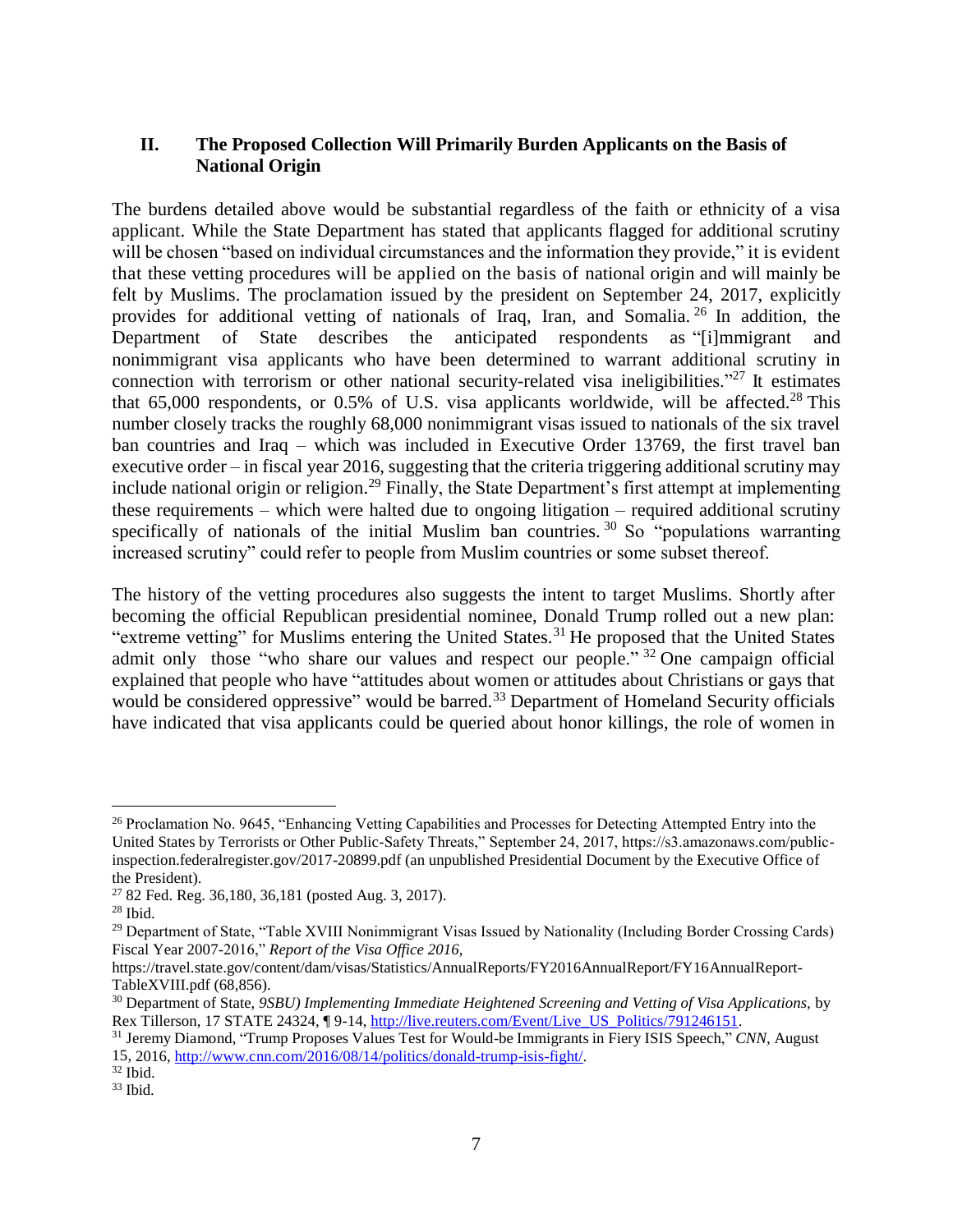# **II. The Proposed Collection Will Primarily Burden Applicants on the Basis of National Origin**

The burdens detailed above would be substantial regardless of the faith or ethnicity of a visa applicant. While the State Department has stated that applicants flagged for additional scrutiny will be chosen "based on individual circumstances and the information they provide," it is evident that these vetting procedures will be applied on the basis of national origin and will mainly be felt by Muslims. The proclamation issued by the president on September 24, 2017, explicitly provides for additional vetting of nationals of Iraq, Iran, and Somalia.<sup>26</sup> In addition, the Department of State describes the anticipated respondents as "[i]mmigrant and nonimmigrant visa applicants who have been determined to warrant additional scrutiny in connection with terrorism or other national security-related visa ineligibilities."<sup>27</sup> It estimates that  $65,000$  respondents, or  $0.5\%$  of U.S. visa applicants worldwide, will be affected.<sup>28</sup> This number closely tracks the roughly 68,000 nonimmigrant visas issued to nationals of the six travel ban countries and Iraq – which was included in Executive Order 13769, the first travel ban executive order – in fiscal year 2016, suggesting that the criteria triggering additional scrutiny may include national origin or religion.<sup>29</sup> Finally, the State Department's first attempt at implementing these requirements – which were halted due to ongoing litigation – required additional scrutiny specifically of nationals of the initial Muslim ban countries.<sup>30</sup> So "populations warranting increased scrutiny" could refer to people from Muslim countries or some subset thereof.

The history of the vetting procedures also suggests the intent to target Muslims. Shortly after becoming the official Republican presidential nominee, Donald Trump rolled out a new plan: "extreme vetting" for Muslims entering the United States.<sup>31</sup> He proposed that the United States admit only those "who share our values and respect our people." <sup>32</sup> One campaign official explained that people who have "attitudes about women or attitudes about Christians or gays that would be considered oppressive" would be barred.<sup>33</sup> Department of Homeland Security officials have indicated that visa applicants could be queried about honor killings, the role of women in

<sup>&</sup>lt;sup>26</sup> Proclamation No. 9645, "Enhancing Vetting Capabilities and Processes for Detecting Attempted Entry into the United States by Terrorists or Other Public-Safety Threats," September 24, 2017, https://s3.amazonaws.com/publicinspection.federalregister.gov/2017-20899.pdf (an unpublished Presidential Document by the Executive Office of the President).

<sup>27</sup> 82 Fed. Reg. 36,180, 36,181 (posted Aug. 3, 2017).

 $28$  Ibid.

<sup>&</sup>lt;sup>29</sup> Department of State, "Table XVIII Nonimmigrant Visas Issued by Nationality (Including Border Crossing Cards) Fiscal Year 2007-2016," *Report of the Visa Office 2016,* 

https://travel.state.gov/content/dam/visas/Statistics/AnnualReports/FY2016AnnualReport/FY16AnnualReport-TableXVIII.pdf (68,856).

<sup>30</sup> Department of State, *9SBU) Implementing Immediate Heightened Screening and Vetting of Visa Applications,* by Rex Tillerson, 17 STATE 24324, ¶ 9-14, [http://live.reuters.com/Event/Live\\_US\\_Politics/791246151.](http://live.reuters.com/Event/Live_US_Politics/791246151)

<sup>31</sup> Jeremy Diamond, "Trump Proposes Values Test for Would-be Immigrants in Fiery ISIS Speech," *CNN,* August 15, 2016, [http://www.cnn.com/2016/08/14/politics/donald-trump-isis-fight/.](http://www.cnn.com/2016/08/14/politics/donald-trump-isis-fight/)

<sup>32</sup> Ibid.

 $33$  Ibid.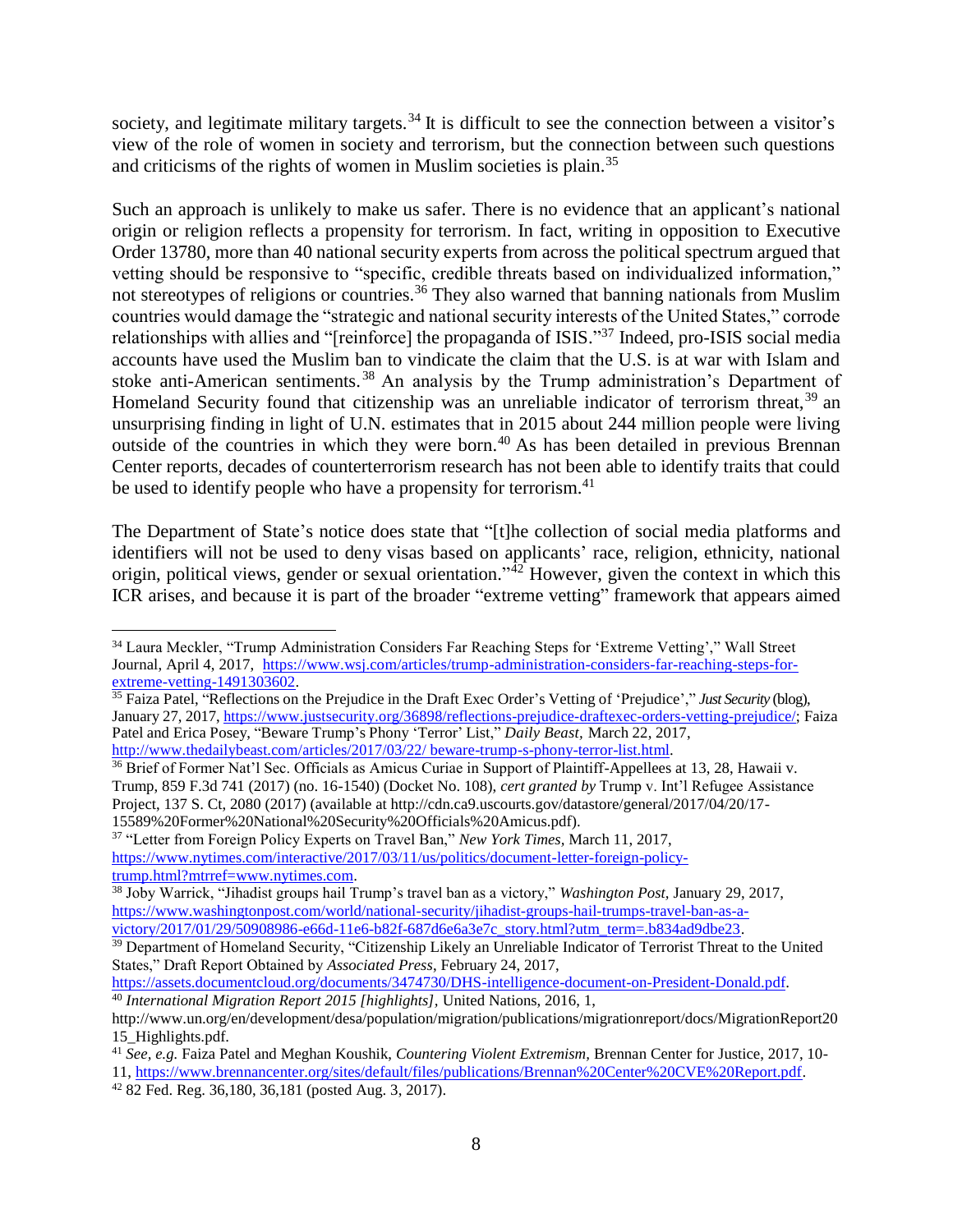society, and legitimate military targets.<sup>34</sup> It is difficult to see the connection between a visitor's view of the role of women in society and terrorism, but the connection between such questions and criticisms of the rights of women in Muslim societies is plain.<sup>35</sup>

Such an approach is unlikely to make us safer. There is no evidence that an applicant's national origin or religion reflects a propensity for terrorism. In fact, writing in opposition to Executive Order 13780, more than 40 national security experts from across the political spectrum argued that vetting should be responsive to "specific, credible threats based on individualized information," not stereotypes of religions or countries.<sup>36</sup> They also warned that banning nationals from Muslim countries would damage the "strategic and national security interests of the United States," corrode relationships with allies and "[reinforce] the propaganda of ISIS."<sup>37</sup> Indeed, pro-ISIS social media accounts have used the Muslim ban to vindicate the claim that the U.S. is at war with Islam and stoke anti-American sentiments. <sup>38</sup> An analysis by the Trump administration's Department of Homeland Security found that citizenship was an unreliable indicator of terrorism threat,  $39$  an unsurprising finding in light of U.N. estimates that in 2015 about 244 million people were living outside of the countries in which they were born.<sup>40</sup> As has been detailed in previous Brennan Center reports, decades of counterterrorism research has not been able to identify traits that could be used to identify people who have a propensity for terrorism.<sup>41</sup>

The Department of State's notice does state that "[t]he collection of social media platforms and identifiers will not be used to deny visas based on applicants' race, religion, ethnicity, national origin, political views, gender or sexual orientation."<sup>42</sup> However, given the context in which this ICR arises, and because it is part of the broader "extreme vetting" framework that appears aimed

- <sup>35</sup> Faiza Patel, "Reflections on the Prejudice in the Draft Exec Order's Vetting of 'Prejudice'," *Just Security* (blog), January 27, 2017, [https://www.justsecurity.org/36898/reflections-prejudice-draftexec-orders-vetting-prejudice/;](https://www.justsecurity.org/36898/reflections-prejudice-draftexec-orders-vetting-prejudice/) Faiza Patel and Erica Posey, "Beware Trump's Phony 'Terror' List," *Daily Beast,* March 22, 2017, [http://www.thedailybeast.com/articles/2017/03/22/](http://www.thedailybeast.com/articles/2017/03/22/%20beware-trump-s-phony-terror-list.html) beware-trump-s-phony-terror-list.html.
- <sup>36</sup> Brief of Former Nat'l Sec. Officials as Amicus Curiae in Support of Plaintiff-Appellees at 13, 28, Hawaii v. Trump, 859 F.3d 741 (2017) (no. 16-1540) (Docket No. 108), *cert granted by* Trump v. Int'l Refugee Assistance Project, 137 S. Ct, 2080 (2017) (available at http://cdn.ca9.uscourts.gov/datastore/general/2017/04/20/17- 15589%20Former%20National%20Security%20Officials%20Amicus.pdf).

<sup>37</sup> "Letter from Foreign Policy Experts on Travel Ban," *New York Times,* March 11, 2017, [https://www.nytimes.com/interactive/2017/03/11/us/politics/document-letter-foreign-policy](https://www.nytimes.com/interactive/2017/03/11/us/politics/document-letter-foreign-policy-trump.html?mtrref=www.nytimes.com)[trump.html?mtrref=www.nytimes.com.](https://www.nytimes.com/interactive/2017/03/11/us/politics/document-letter-foreign-policy-trump.html?mtrref=www.nytimes.com)

[https://assets.documentcloud.org/documents/3474730/DHS-intelligence-document-on-President-Donald.pdf.](https://assets.documentcloud.org/documents/3474730/DHS-intelligence-document-on-President-Donald.pdf) <sup>40</sup> *International Migration Report 2015 [highlights],* United Nations, 2016, 1,

 $\overline{a}$ <sup>34</sup> Laura Meckler, "Trump Administration Considers Far Reaching Steps for 'Extreme Vetting'," Wall Street Journal, April 4, 2017, [https://www.wsj.com/articles/trump-administration-considers-far-reaching-steps-for](https://www.wsj.com/articles/trump-administration-considers-far-reaching-steps-for-extreme-vetting-1491303602)[extreme-vetting-1491303602.](https://www.wsj.com/articles/trump-administration-considers-far-reaching-steps-for-extreme-vetting-1491303602)

<sup>38</sup> Joby Warrick, "Jihadist groups hail Trump's travel ban as a victory," *Washington Post,* January 29, 2017, [https://www.washingtonpost.com/world/national-security/jihadist-groups-hail-trumps-travel-ban-as-a](https://www.washingtonpost.com/world/national-security/jihadist-groups-hail-trumps-travel-ban-as-a-victory/2017/01/29/50908986-e66d-11e6-b82f-687d6e6a3e7c_story.html?utm_term=.b834ad9dbe23)[victory/2017/01/29/50908986-e66d-11e6-b82f-687d6e6a3e7c\\_story.html?utm\\_term=.b834ad9dbe23.](https://www.washingtonpost.com/world/national-security/jihadist-groups-hail-trumps-travel-ban-as-a-victory/2017/01/29/50908986-e66d-11e6-b82f-687d6e6a3e7c_story.html?utm_term=.b834ad9dbe23)

<sup>&</sup>lt;sup>39</sup> Department of Homeland Security, "Citizenship Likely an Unreliable Indicator of Terrorist Threat to the United States," Draft Report Obtained by *Associated Press*, February 24, 2017,

http://www.un.org/en/development/desa/population/migration/publications/migrationreport/docs/MigrationReport20 15\_Highlights.pdf.

<sup>41</sup> *See, e.g.* Faiza Patel and Meghan Koushik, *Countering Violent Extremism,* Brennan Center for Justice, 2017, 10- 11, [https://www.brennancenter.org/sites/default/files/publications/Brennan%20Center%20CVE%20Report.pdf.](https://www.brennancenter.org/sites/default/files/publications/Brennan%20Center%20CVE%20Report.pdf)

<sup>42</sup> 82 Fed. Reg. 36,180, 36,181 (posted Aug. 3, 2017).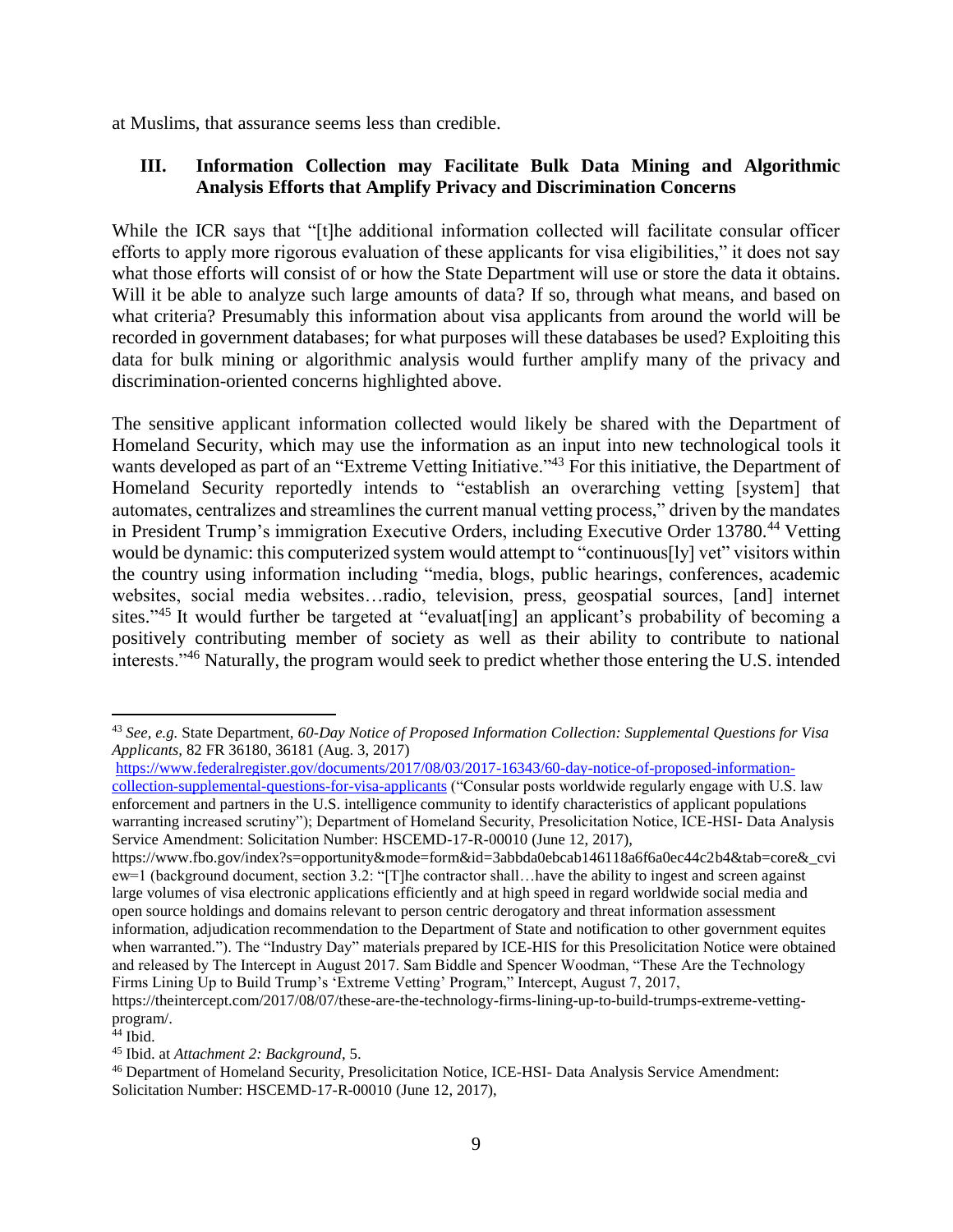at Muslims, that assurance seems less than credible.

## **III. Information Collection may Facilitate Bulk Data Mining and Algorithmic Analysis Efforts that Amplify Privacy and Discrimination Concerns**

While the ICR says that "[t]he additional information collected will facilitate consular officer efforts to apply more rigorous evaluation of these applicants for visa eligibilities," it does not say what those efforts will consist of or how the State Department will use or store the data it obtains. Will it be able to analyze such large amounts of data? If so, through what means, and based on what criteria? Presumably this information about visa applicants from around the world will be recorded in government databases; for what purposes will these databases be used? Exploiting this data for bulk mining or algorithmic analysis would further amplify many of the privacy and discrimination-oriented concerns highlighted above.

The sensitive applicant information collected would likely be shared with the Department of Homeland Security, which may use the information as an input into new technological tools it wants developed as part of an "Extreme Vetting Initiative."<sup>43</sup> For this initiative, the Department of Homeland Security reportedly intends to "establish an overarching vetting [system] that automates, centralizes and streamlines the current manual vetting process," driven by the mandates in President Trump's immigration Executive Orders, including Executive Order 13780.<sup>44</sup> Vetting would be dynamic: this computerized system would attempt to "continuous[ly] vet" visitors within the country using information including "media, blogs, public hearings, conferences, academic websites, social media websites…radio, television, press, geospatial sources, [and] internet sites."<sup>45</sup> It would further be targeted at "evaluat[ing] an applicant's probability of becoming a positively contributing member of society as well as their ability to contribute to national interests."<sup>46</sup> Naturally, the program would seek to predict whether those entering the U.S. intended

[https://www.federalregister.gov/documents/2017/08/03/2017-16343/60-day-notice-of-proposed-information](https://www.federalregister.gov/documents/2017/08/03/2017-16343/60-day-notice-of-proposed-information-collection-supplemental-questions-for-visa-applicants)[collection-supplemental-questions-for-visa-applicants](https://www.federalregister.gov/documents/2017/08/03/2017-16343/60-day-notice-of-proposed-information-collection-supplemental-questions-for-visa-applicants) ("Consular posts worldwide regularly engage with U.S. law enforcement and partners in the U.S. intelligence community to identify characteristics of applicant populations warranting increased scrutiny"); Department of Homeland Security, Presolicitation Notice, ICE-HSI- Data Analysis Service Amendment: Solicitation Number: HSCEMD-17-R-00010 (June 12, 2017),

 $\overline{a}$ <sup>43</sup> *See, e.g.* State Department, *60-Day Notice of Proposed Information Collection: Supplemental Questions for Visa Applicants,* 82 FR 36180, 36181 (Aug. 3, 2017)

https://www.fbo.gov/index?s=opportunity&mode=form&id=3abbda0ebcab146118a6f6a0ec44c2b4&tab=core&\_cvi ew=1 (background document, section 3.2: "[T]he contractor shall…have the ability to ingest and screen against large volumes of visa electronic applications efficiently and at high speed in regard worldwide social media and open source holdings and domains relevant to person centric derogatory and threat information assessment information, adjudication recommendation to the Department of State and notification to other government equites when warranted."). The "Industry Day" materials prepared by ICE-HIS for this Presolicitation Notice were obtained and released by The Intercept in August 2017. Sam Biddle and Spencer Woodman, "These Are the Technology Firms Lining Up to Build Trump's 'Extreme Vetting' Program," Intercept, August 7, 2017,

https://theintercept.com/2017/08/07/these-are-the-technology-firms-lining-up-to-build-trumps-extreme-vettingprogram/.

<sup>44</sup> Ibid.

<sup>45</sup> Ibid. at *Attachment 2: Background*, 5.

<sup>46</sup> Department of Homeland Security, Presolicitation Notice, ICE-HSI- Data Analysis Service Amendment: Solicitation Number: HSCEMD-17-R-00010 (June 12, 2017),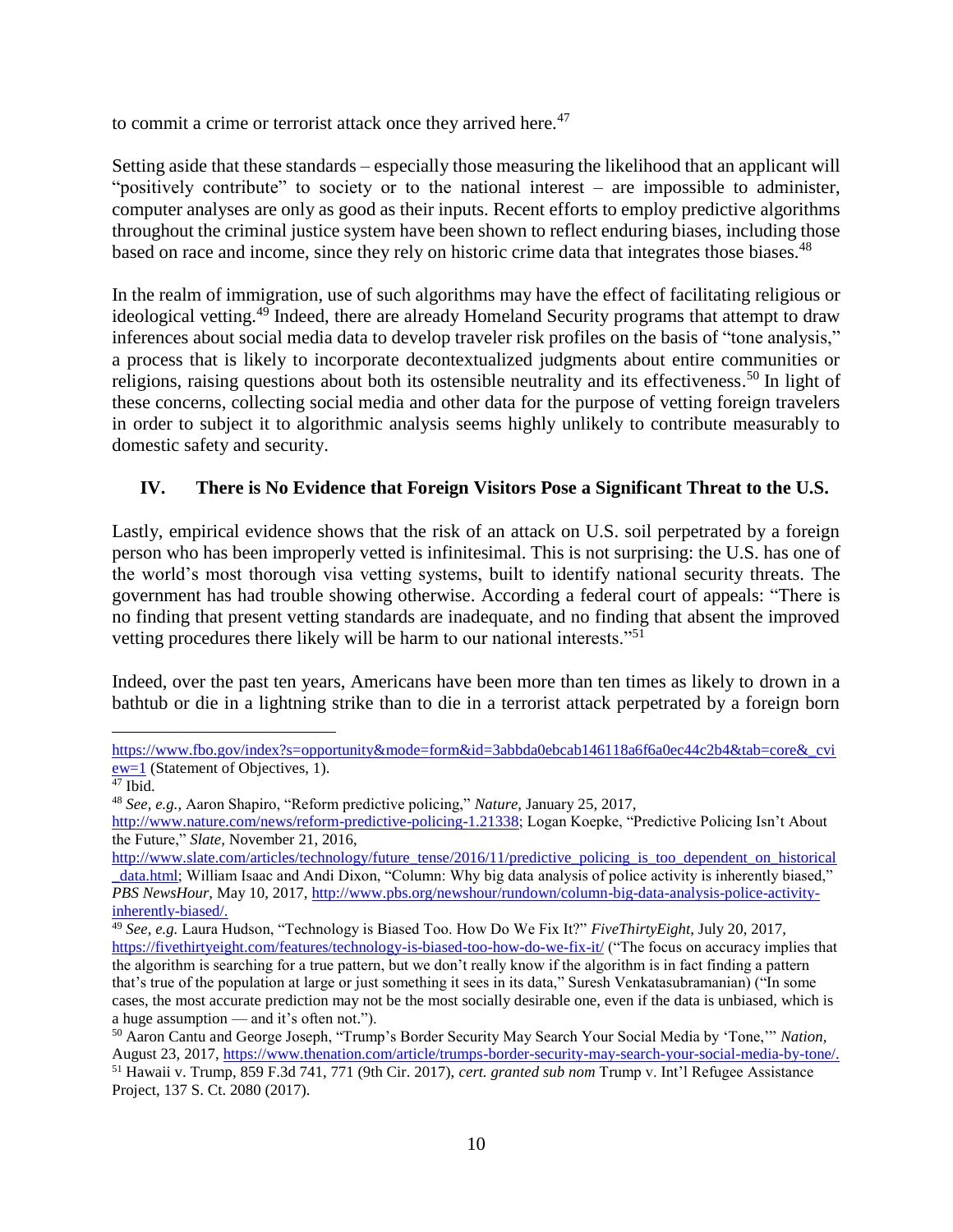to commit a crime or terrorist attack once they arrived here. $47$ 

Setting aside that these standards – especially those measuring the likelihood that an applicant will "positively contribute" to society or to the national interest – are impossible to administer, computer analyses are only as good as their inputs. Recent efforts to employ predictive algorithms throughout the criminal justice system have been shown to reflect enduring biases, including those based on race and income, since they rely on historic crime data that integrates those biases.<sup>48</sup>

In the realm of immigration, use of such algorithms may have the effect of facilitating religious or ideological vetting.<sup>49</sup> Indeed, there are already Homeland Security programs that attempt to draw inferences about social media data to develop traveler risk profiles on the basis of "tone analysis," a process that is likely to incorporate decontextualized judgments about entire communities or religions, raising questions about both its ostensible neutrality and its effectiveness.<sup>50</sup> In light of these concerns, collecting social media and other data for the purpose of vetting foreign travelers in order to subject it to algorithmic analysis seems highly unlikely to contribute measurably to domestic safety and security.

# **IV. There is No Evidence that Foreign Visitors Pose a Significant Threat to the U.S.**

Lastly, empirical evidence shows that the risk of an attack on U.S. soil perpetrated by a foreign person who has been improperly vetted is infinitesimal. This is not surprising: the U.S. has one of the world's most thorough visa vetting systems, built to identify national security threats. The government has had trouble showing otherwise. According a federal court of appeals: "There is no finding that present vetting standards are inadequate, and no finding that absent the improved vetting procedures there likely will be harm to our national interests."<sup>51</sup>

Indeed, over the past ten years, Americans have been more than ten times as likely to drown in a bathtub or die in a lightning strike than to die in a terrorist attack perpetrated by a foreign born

 $\overline{a}$ [https://www.fbo.gov/index?s=opportunity&mode=form&id=3abbda0ebcab146118a6f6a0ec44c2b4&tab=core&\\_cvi](https://www.fbo.gov/index?s=opportunity&mode=form&id=3abbda0ebcab146118a6f6a0ec44c2b4&tab=core&_cview=1) [ew=1](https://www.fbo.gov/index?s=opportunity&mode=form&id=3abbda0ebcab146118a6f6a0ec44c2b4&tab=core&_cview=1) (Statement of Objectives, 1).

<sup>47</sup> Ibid.

<sup>48</sup> *See, e.g.,* Aaron Shapiro, "Reform predictive policing," *Nature,* January 25, 2017,

[http://www.nature.com/news/reform-predictive-policing-1.21338;](http://www.nature.com/news/reform-predictive-policing-1.21338) Logan Koepke, "Predictive Policing Isn't About the Future," *Slate,* November 21, 2016,

[http://www.slate.com/articles/technology/future\\_tense/2016/11/predictive\\_policing\\_is\\_too\\_dependent\\_on\\_historical](http://www.slate.com/articles/technology/future_tense/2016/11/predictive_policing_is_too_dependent_on_historical_data.html) data.html; William Isaac and Andi Dixon, "Column: Why big data analysis of police activity is inherently biased," *PBS NewsHour,* May 10, 2017, [http://www.pbs.org/newshour/rundown/column-big-data-analysis-police-activity](http://www.pbs.org/newshour/rundown/column-big-data-analysis-police-activity-inherently-biased/)[inherently-biased/.](http://www.pbs.org/newshour/rundown/column-big-data-analysis-police-activity-inherently-biased/)

<sup>49</sup> *See, e.g.* Laura Hudson, "Technology is Biased Too. How Do We Fix It?" *FiveThirtyEight*, July 20, 2017, <https://fivethirtyeight.com/features/technology-is-biased-too-how-do-we-fix-it/> ("The focus on accuracy implies that the algorithm is searching for a true pattern, but we don't really know if the algorithm is in fact finding a pattern that's true of the population at large or just something it sees in its data," Suresh Venkatasubramanian) ("In some cases, the most accurate prediction may not be the most socially desirable one, even if the data is unbiased, which is a huge assumption — and it's often not.").

<sup>50</sup> Aaron Cantu and George Joseph, "Trump's Border Security May Search Your Social Media by 'Tone,'" *Nation,*  August 23, 2017, [https://www.thenation.com/article/trumps-border-security-may-search-your-social-media-by-tone/.](https://www.thenation.com/article/trumps-border-security-may-search-your-social-media-by-tone/) <sup>51</sup> Hawaii v. Trump, 859 F.3d 741, 771 (9th Cir. 2017), *cert. granted sub nom* Trump v. Int'l Refugee Assistance Project, 137 S. Ct. 2080 (2017).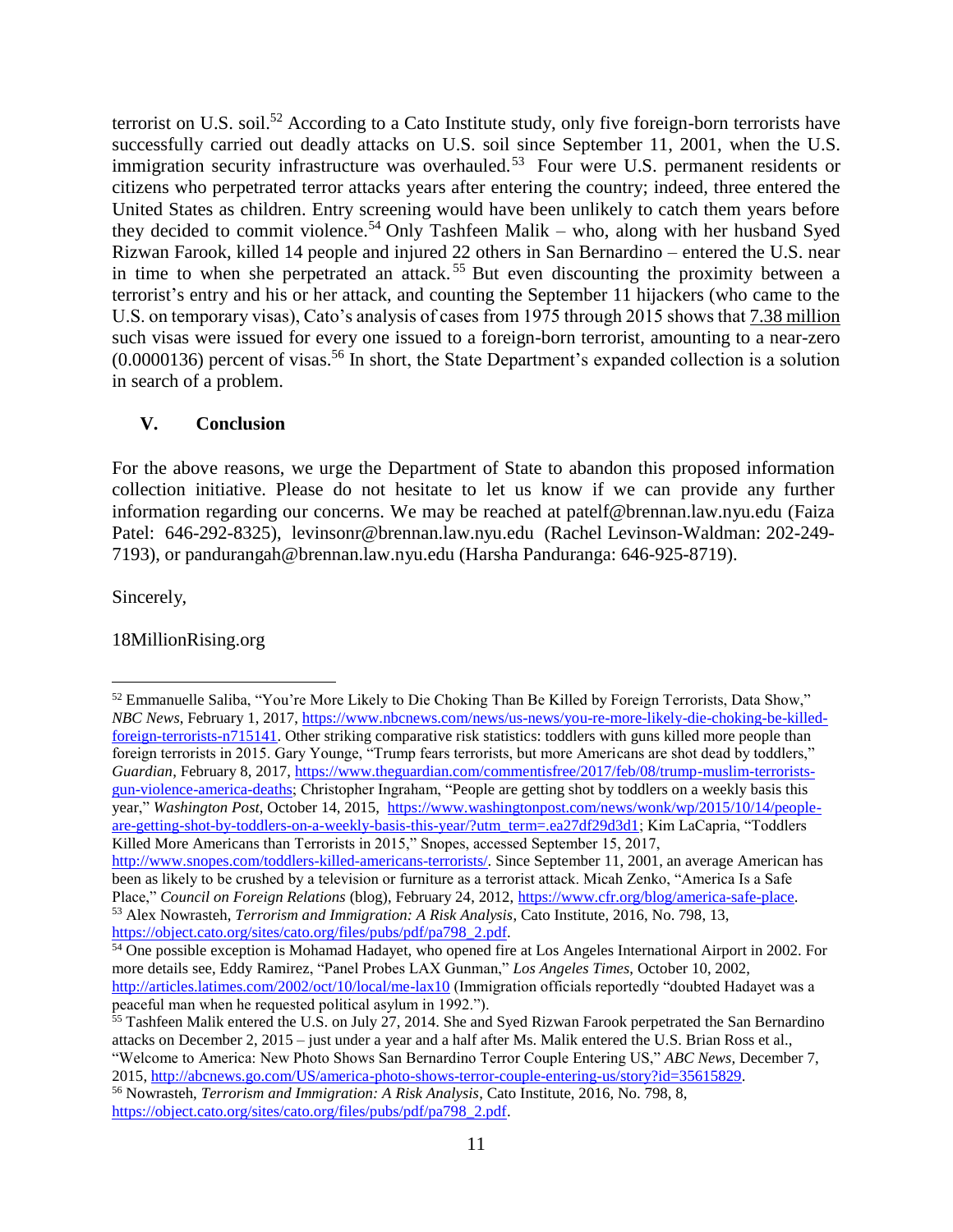terrorist on U.S. soil.<sup>52</sup> According to a Cato Institute study, only five foreign-born terrorists have successfully carried out deadly attacks on U.S. soil since September 11, 2001, when the U.S. immigration security infrastructure was overhauled.<sup>53</sup> Four were U.S. permanent residents or citizens who perpetrated terror attacks years after entering the country; indeed, three entered the United States as children. Entry screening would have been unlikely to catch them years before they decided to commit violence.<sup>54</sup> Only Tashfeen Malik – who, along with her husband Syed Rizwan Farook, killed 14 people and injured 22 others in San Bernardino – entered the U.S. near in time to when she perpetrated an attack. <sup>55</sup> But even discounting the proximity between a terrorist's entry and his or her attack, and counting the September 11 hijackers (who came to the U.S. on temporary visas), Cato's analysis of cases from 1975 through 2015 shows that 7.38 million such visas were issued for every one issued to a foreign-born terrorist, amounting to a near-zero  $(0.0000136)$  percent of visas.<sup>56</sup> In short, the State Department's expanded collection is a solution in search of a problem.

# **V. Conclusion**

For the above reasons, we urge the Department of State to abandon this proposed information collection initiative. Please do not hesitate to let us know if we can provide any further information regarding our concerns. We may be reached at [patelf@brennan.law.nyu.edu](mailto:patelf@brennan.law.nyu.edu) (Faiza Patel: 646-292-8325[\), levinsonr@brennan.law.nyu.edu](mailto:levinsonr@brennan.law.nyu.edu) (Rachel Levinson-Waldman: 202-249- 7193), or [pandurangah@brennan.law.nyu.edu](mailto:pandurangah@brennan.law.nyu.edu) (Harsha Panduranga: 646-925-8719).

Sincerely,

# 18MillionRising.org

 $\overline{a}$ <sup>52</sup> Emmanuelle Saliba, "You're More Likely to Die Choking Than Be Killed by Foreign Terrorists, Data Show," *NBC News*, February 1, 2017, [https://www.nbcnews.com/news/us-news/you-re-more-likely-die-choking-be-killed](https://www.nbcnews.com/news/us-news/you-re-more-likely-die-choking-be-killed-foreign-terrorists-n715141)[foreign-terrorists-n715141.](https://www.nbcnews.com/news/us-news/you-re-more-likely-die-choking-be-killed-foreign-terrorists-n715141) Other striking comparative risk statistics: toddlers with guns killed more people than foreign terrorists in 2015. Gary Younge, "Trump fears terrorists, but more Americans are shot dead by toddlers," *Guardian*, February 8, 2017, [https://www.theguardian.com/commentisfree/2017/feb/08/trump-muslim-terrorists](https://www.theguardian.com/commentisfree/2017/feb/08/trump-muslim-terrorists-gun-violence-america-deaths)[gun-violence-america-deaths;](https://www.theguardian.com/commentisfree/2017/feb/08/trump-muslim-terrorists-gun-violence-america-deaths) Christopher Ingraham, "People are getting shot by toddlers on a weekly basis this year," *Washington Post*, October 14, 2015, [https://www.washingtonpost.com/news/wonk/wp/2015/10/14/people](https://www.washingtonpost.com/news/wonk/wp/2015/10/14/people-are-getting-shot-by-toddlers-on-a-weekly-basis-this-year/?utm_term=.ea27df29d3d1)[are-getting-shot-by-toddlers-on-a-weekly-basis-this-year/?utm\\_term=.ea27df29d3d1;](https://www.washingtonpost.com/news/wonk/wp/2015/10/14/people-are-getting-shot-by-toddlers-on-a-weekly-basis-this-year/?utm_term=.ea27df29d3d1) Kim LaCapria, "Toddlers Killed More Americans than Terrorists in 2015," Snopes, accessed September 15, 2017, [http://www.snopes.com/toddlers-killed-americans-terrorists/.](http://www.snopes.com/toddlers-killed-americans-terrorists/) Since September 11, 2001, an average American has been as likely to be crushed by a television or furniture as a terrorist attack. Micah Zenko, "America Is a Safe Place," *Council on Foreign Relations* (blog), February 24, 2012, [https://www.cfr.org/blog/america-safe-place.](https://www.cfr.org/blog/america-safe-place)

<sup>53</sup> Alex Nowrasteh, *Terrorism and Immigration: A Risk Analysis*, Cato Institute, 2016, No. 798, 13, [https://object.cato.org/sites/cato.org/files/pubs/pdf/pa798\\_2.pdf.](https://object.cato.org/sites/cato.org/files/pubs/pdf/pa798_2.pdf)

<sup>&</sup>lt;sup>54</sup> One possible exception is Mohamad Hadayet, who opened fire at Los Angeles International Airport in 2002. For more details see, Eddy Ramirez, "Panel Probes LAX Gunman," *Los Angeles Times*, October 10, 2002, <http://articles.latimes.com/2002/oct/10/local/me-lax10> (Immigration officials reportedly "doubted Hadayet was a peaceful man when he requested political asylum in 1992.").

<sup>&</sup>lt;sup>55</sup> Tashfeen Malik entered the U.S. on July 27, 2014. She and Syed Rizwan Farook perpetrated the San Bernardino attacks on December 2, 2015 – just under a year and a half after Ms. Malik entered the U.S. Brian Ross et al., "Welcome to America: New Photo Shows San Bernardino Terror Couple Entering US," *ABC News,* December 7,

<sup>2015,</sup> [http://abcnews.go.com/US/america-photo-shows-terror-couple-entering-us/story?id=35615829.](http://abcnews.go.com/US/america-photo-shows-terror-couple-entering-us/story?id=35615829) <sup>56</sup> Nowrasteh, *Terrorism and Immigration: A Risk Analysis*, Cato Institute, 2016, No. 798, 8, [https://object.cato.org/sites/cato.org/files/pubs/pdf/pa798\\_2.pdf.](https://object.cato.org/sites/cato.org/files/pubs/pdf/pa798_2.pdf)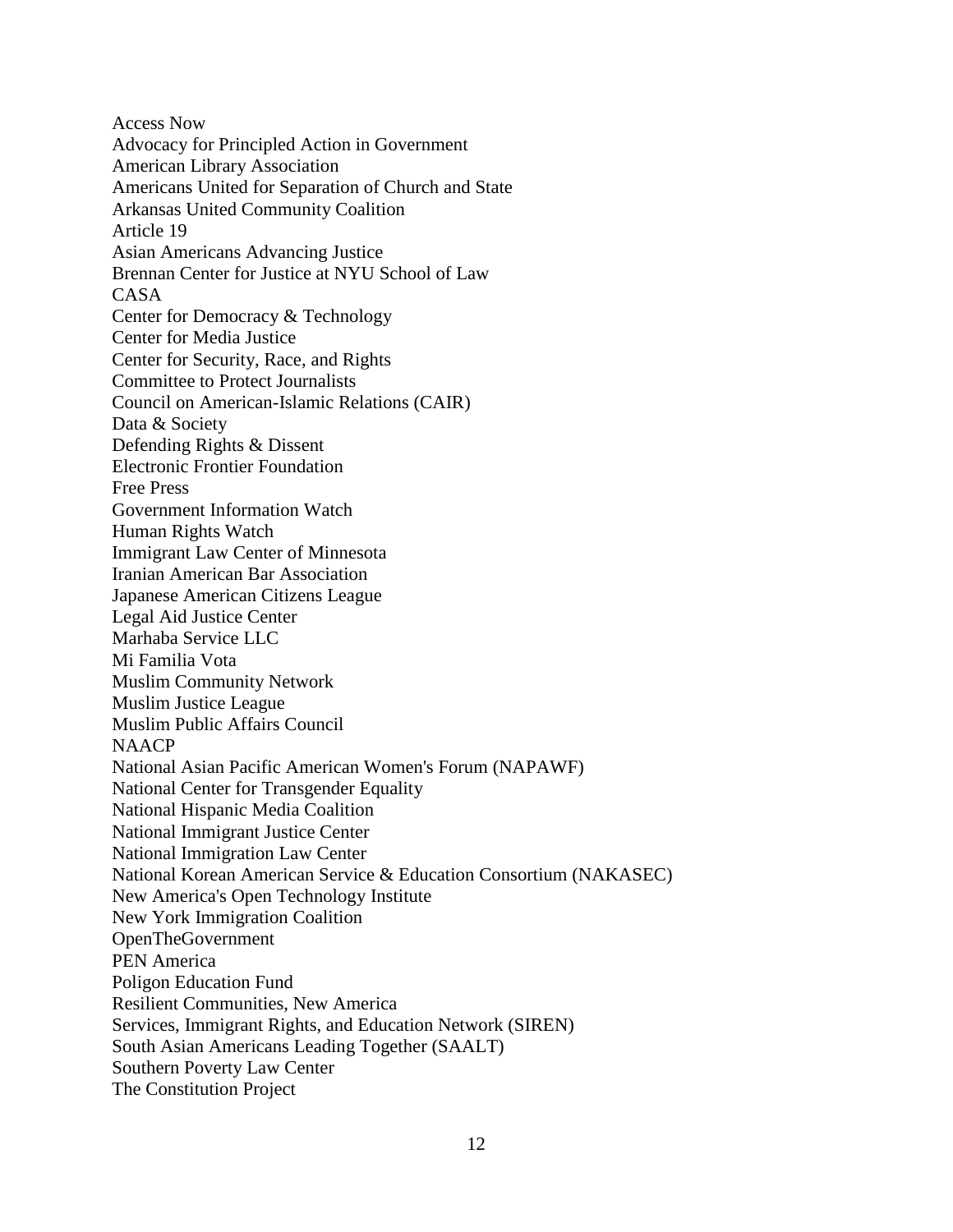Access Now Advocacy for Principled Action in Government American Library Association Americans United for Separation of Church and State Arkansas United Community Coalition Article 19 Asian Americans Advancing Justice Brennan Center for Justice at NYU School of Law CASA Center for Democracy & Technology Center for Media Justice Center for Security, Race, and Rights Committee to Protect Journalists Council on American-Islamic Relations (CAIR) Data & Society Defending Rights & Dissent Electronic Frontier Foundation Free Press Government Information Watch Human Rights Watch Immigrant Law Center of Minnesota Iranian American Bar Association Japanese American Citizens League Legal Aid Justice Center Marhaba Service LLC Mi Familia Vota Muslim Community Network Muslim Justice League Muslim Public Affairs Council **NAACP** National Asian Pacific American Women's Forum (NAPAWF) National Center for Transgender Equality National Hispanic Media Coalition National Immigrant Justice Center National Immigration Law Center National Korean American Service & Education Consortium (NAKASEC) New America's Open Technology Institute New York Immigration Coalition OpenTheGovernment PEN America Poligon Education Fund Resilient Communities, New America Services, Immigrant Rights, and Education Network (SIREN) South Asian Americans Leading Together (SAALT) Southern Poverty Law Center The Constitution Project